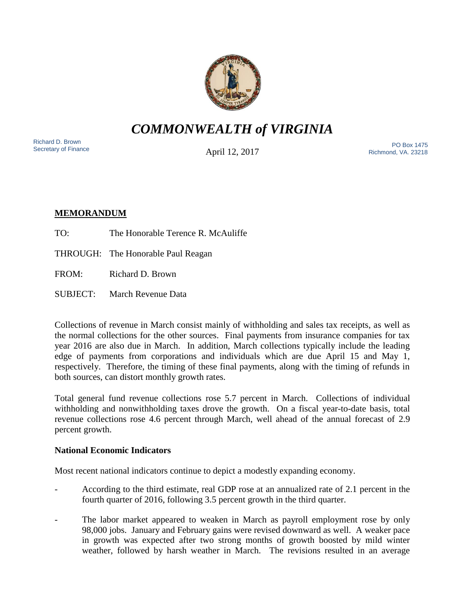

*COMMONWEALTH of VIRGINIA*

Richard D. Brown<br>Secretary of Finance

April 12, 2017

Sichard D. Brown<br>Secretary of Finance **Secretary of Finance** PO Box 1475 Richmond, VA. 23218

# **MEMORANDUM**

- TO: The Honorable Terence R. McAuliffe
- THROUGH: The Honorable Paul Reagan
- FROM: Richard D. Brown
- SUBJECT: March Revenue Data

Collections of revenue in March consist mainly of withholding and sales tax receipts, as well as the normal collections for the other sources. Final payments from insurance companies for tax year 2016 are also due in March. In addition, March collections typically include the leading edge of payments from corporations and individuals which are due April 15 and May 1, respectively. Therefore, the timing of these final payments, along with the timing of refunds in both sources, can distort monthly growth rates.

Total general fund revenue collections rose 5.7 percent in March. Collections of individual withholding and nonwithholding taxes drove the growth. On a fiscal year-to-date basis, total revenue collections rose 4.6 percent through March, well ahead of the annual forecast of 2.9 percent growth.

# **National Economic Indicators**

Most recent national indicators continue to depict a modestly expanding economy.

- According to the third estimate, real GDP rose at an annualized rate of 2.1 percent in the fourth quarter of 2016, following 3.5 percent growth in the third quarter.
- The labor market appeared to weaken in March as payroll employment rose by only 98,000 jobs. January and February gains were revised downward as well. A weaker pace in growth was expected after two strong months of growth boosted by mild winter weather, followed by harsh weather in March. The revisions resulted in an average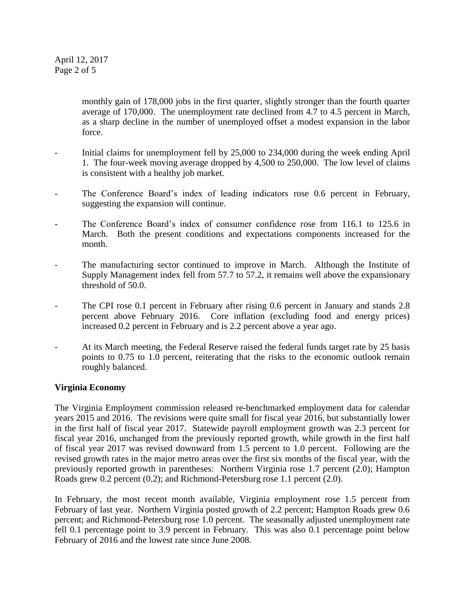April 12, 2017 Page 2 of 5

> monthly gain of 178,000 jobs in the first quarter, slightly stronger than the fourth quarter average of 170,000. The unemployment rate declined from 4.7 to 4.5 percent in March, as a sharp decline in the number of unemployed offset a modest expansion in the labor force.

- Initial claims for unemployment fell by 25,000 to 234,000 during the week ending April 1. The four-week moving average dropped by 4,500 to 250,000. The low level of claims is consistent with a healthy job market.
- The Conference Board's index of leading indicators rose 0.6 percent in February, suggesting the expansion will continue.
- The Conference Board's index of consumer confidence rose from 116.1 to 125.6 in March. Both the present conditions and expectations components increased for the month.
- The manufacturing sector continued to improve in March. Although the Institute of Supply Management index fell from 57.7 to 57.2, it remains well above the expansionary threshold of 50.0.
- The CPI rose 0.1 percent in February after rising 0.6 percent in January and stands 2.8 percent above February 2016. Core inflation (excluding food and energy prices) increased 0.2 percent in February and is 2.2 percent above a year ago.
- At its March meeting, the Federal Reserve raised the federal funds target rate by 25 basis points to 0.75 to 1.0 percent, reiterating that the risks to the economic outlook remain roughly balanced.

### **Virginia Economy**

The Virginia Employment commission released re-benchmarked employment data for calendar years 2015 and 2016. The revisions were quite small for fiscal year 2016, but substantially lower in the first half of fiscal year 2017. Statewide payroll employment growth was 2.3 percent for fiscal year 2016, unchanged from the previously reported growth, while growth in the first half of fiscal year 2017 was revised downward from 1.5 percent to 1.0 percent. Following are the revised growth rates in the major metro areas over the first six months of the fiscal year, with the previously reported growth in parentheses: Northern Virginia rose 1.7 percent (2.0); Hampton Roads grew 0.2 percent (0.2); and Richmond-Petersburg rose 1.1 percent (2.0).

In February, the most recent month available, Virginia employment rose 1.5 percent from February of last year. Northern Virginia posted growth of 2.2 percent; Hampton Roads grew 0.6 percent; and Richmond-Petersburg rose 1.0 percent. The seasonally adjusted unemployment rate fell 0.1 percentage point to 3.9 percent in February. This was also 0.1 percentage point below February of 2016 and the lowest rate since June 2008.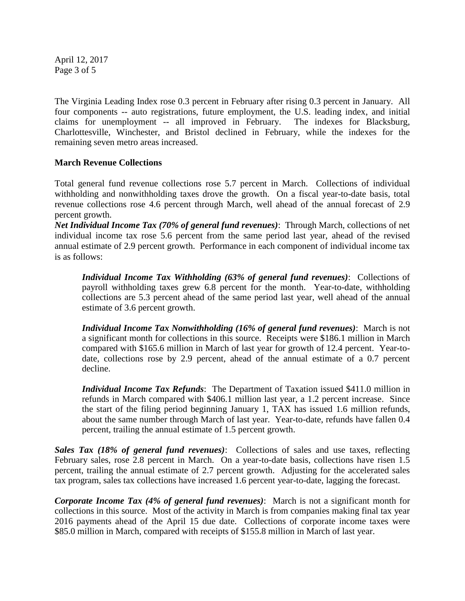April 12, 2017 Page 3 of 5

The Virginia Leading Index rose 0.3 percent in February after rising 0.3 percent in January. All four components -- auto registrations, future employment, the U.S. leading index, and initial claims for unemployment -- all improved in February. The indexes for Blacksburg, Charlottesville, Winchester, and Bristol declined in February, while the indexes for the remaining seven metro areas increased.

## **March Revenue Collections**

Total general fund revenue collections rose 5.7 percent in March. Collections of individual withholding and nonwithholding taxes drove the growth. On a fiscal year-to-date basis, total revenue collections rose 4.6 percent through March, well ahead of the annual forecast of 2.9 percent growth.

*Net Individual Income Tax (70% of general fund revenues)*: Through March, collections of net individual income tax rose 5.6 percent from the same period last year, ahead of the revised annual estimate of 2.9 percent growth. Performance in each component of individual income tax is as follows:

*Individual Income Tax Withholding (63% of general fund revenues)*: Collections of payroll withholding taxes grew 6.8 percent for the month. Year-to-date, withholding collections are 5.3 percent ahead of the same period last year, well ahead of the annual estimate of 3.6 percent growth.

*Individual Income Tax Nonwithholding (16% of general fund revenues)*: March is not a significant month for collections in this source. Receipts were \$186.1 million in March compared with \$165.6 million in March of last year for growth of 12.4 percent. Year-todate, collections rose by 2.9 percent, ahead of the annual estimate of a 0.7 percent decline.

*Individual Income Tax Refunds*: The Department of Taxation issued \$411.0 million in refunds in March compared with \$406.1 million last year, a 1.2 percent increase. Since the start of the filing period beginning January 1, TAX has issued 1.6 million refunds, about the same number through March of last year. Year-to-date, refunds have fallen 0.4 percent, trailing the annual estimate of 1.5 percent growth.

*Sales Tax (18% of general fund revenues)*: Collections of sales and use taxes, reflecting February sales, rose 2.8 percent in March. On a year-to-date basis, collections have risen 1.5 percent, trailing the annual estimate of 2.7 percent growth. Adjusting for the accelerated sales tax program, sales tax collections have increased 1.6 percent year-to-date, lagging the forecast.

*Corporate Income Tax (4% of general fund revenues)*: March is not a significant month for collections in this source. Most of the activity in March is from companies making final tax year 2016 payments ahead of the April 15 due date. Collections of corporate income taxes were \$85.0 million in March, compared with receipts of \$155.8 million in March of last year.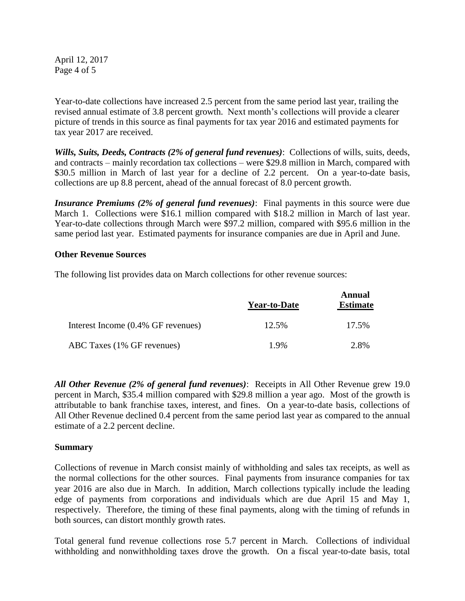April 12, 2017 Page 4 of 5

Year-to-date collections have increased 2.5 percent from the same period last year, trailing the revised annual estimate of 3.8 percent growth. Next month's collections will provide a clearer picture of trends in this source as final payments for tax year 2016 and estimated payments for tax year 2017 are received.

*Wills, Suits, Deeds, Contracts (2% of general fund revenues)*: Collections of wills, suits, deeds, and contracts – mainly recordation tax collections – were \$29.8 million in March, compared with \$30.5 million in March of last year for a decline of 2.2 percent. On a year-to-date basis, collections are up 8.8 percent, ahead of the annual forecast of 8.0 percent growth.

*Insurance Premiums (2% of general fund revenues)*: Final payments in this source were due March 1. Collections were \$16.1 million compared with \$18.2 million in March of last year. Year-to-date collections through March were \$97.2 million, compared with \$95.6 million in the same period last year. Estimated payments for insurance companies are due in April and June.

### **Other Revenue Sources**

The following list provides data on March collections for other revenue sources:

|                                    | <b>Year-to-Date</b> | Annual<br><b>Estimate</b> |
|------------------------------------|---------------------|---------------------------|
| Interest Income (0.4% GF revenues) | 12.5%               | 17.5%                     |
| ABC Taxes (1% GF revenues)         | $1.9\%$             | 2.8%                      |

*All Other Revenue (2% of general fund revenues)*: Receipts in All Other Revenue grew 19.0 percent in March, \$35.4 million compared with \$29.8 million a year ago. Most of the growth is attributable to bank franchise taxes, interest, and fines. On a year-to-date basis, collections of All Other Revenue declined 0.4 percent from the same period last year as compared to the annual estimate of a 2.2 percent decline.

#### **Summary**

Collections of revenue in March consist mainly of withholding and sales tax receipts, as well as the normal collections for the other sources. Final payments from insurance companies for tax year 2016 are also due in March. In addition, March collections typically include the leading edge of payments from corporations and individuals which are due April 15 and May 1, respectively. Therefore, the timing of these final payments, along with the timing of refunds in both sources, can distort monthly growth rates.

Total general fund revenue collections rose 5.7 percent in March. Collections of individual withholding and nonwithholding taxes drove the growth. On a fiscal year-to-date basis, total